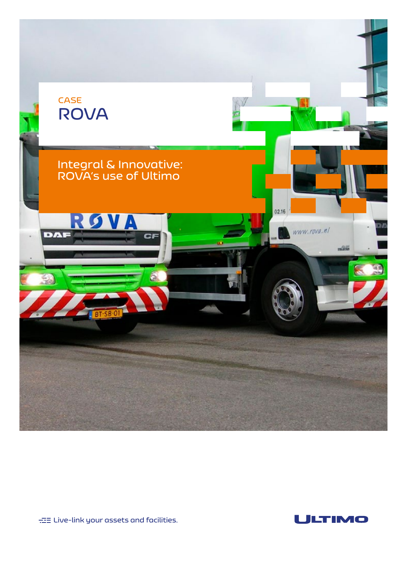

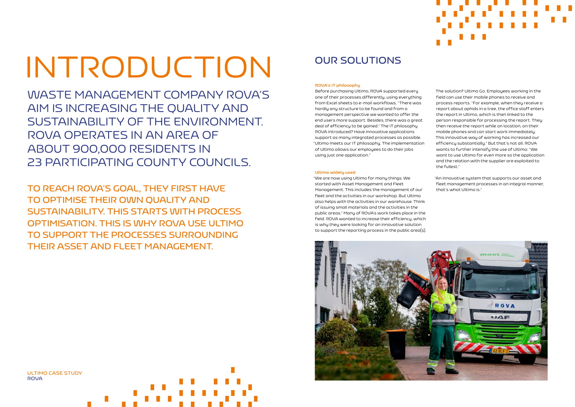# INTRODUCTION

WASTE MANAGEMENT COMPANY ROVA'S AIM IS INCREASING THE QUALITY AND SUSTAINABILITY OF THE ENVIRONMENT. ROVA OPERATES IN AN AREA OF ABOUT 900,000 RESIDENTS IN 23 PARTICIPATING COUNTY COUNCILS.

**TO REACH ROVA'S GOAL, THEY FIRST HAVE TO OPTIMISE THEIR OWN QUALITY AND SUSTAINABILITY. THIS STARTS WITH PROCESS OPTIMISATION. THIS IS WHY ROVA USE ULTIMO TO SUPPORT THE PROCESSES SURROUNDING THEIR ASSET AND FLEET MANAGEMENT.** 

**ULTIMO CASE STUDY ROVA**

### **ROVA's IT philosophy**

Before purchasing Ultimo, ROVA supported every one of their processes differently, using everything from Excel sheets to e-mail workflows. 'There was hardly any structure to be found and from a management perspective we wanted to offer the end users more support. Besides, there was a great deal of efficiency to be gained.' The IT philosophy ROVA introduced? Have innovative applications support as many integrated processes as possible. 'Ultimo meets our IT philosophy. The implementation of Ultimo allows our employees to do their jobs using just one application.'

### **Ultimo widely used**

'We are now using Ultimo for many things. We started with Asset Management and Fleet Management. This includes the management of our fleet and the activities in our workshop. But Ultimo also helps with the activities in our warehouse. Think of issuing small materials and the activities in the public areas.' Many of ROVA's work takes place in the field. ROVA wanted to increase their efficiency, which is why they were looking for an innovative solution to support the reporting process in the public area(s).



The solution? Ultimo Go. Employees working in the field can use their mobile phones to receive and process reports. 'For example, when they receive a report about aphids in a tree, the office staff enters the report in Ultimo, which is then linked to the person responsible for processing the report. They then receive the report while on location, on their mobile phones and can start work immediately. This innovative way of working has increased our efficiency substantially.' But that's not all. ROVA wants to further intensify the use of Ultimo: 'We want to use Ultimo for even more so the application and the relation with the supplier are exploited to the fullest.'

'An innovative system that supports our asset and fleet management processes in an integral manner, that's what Ultimo is.'

### **OUR SOLUTIONS**